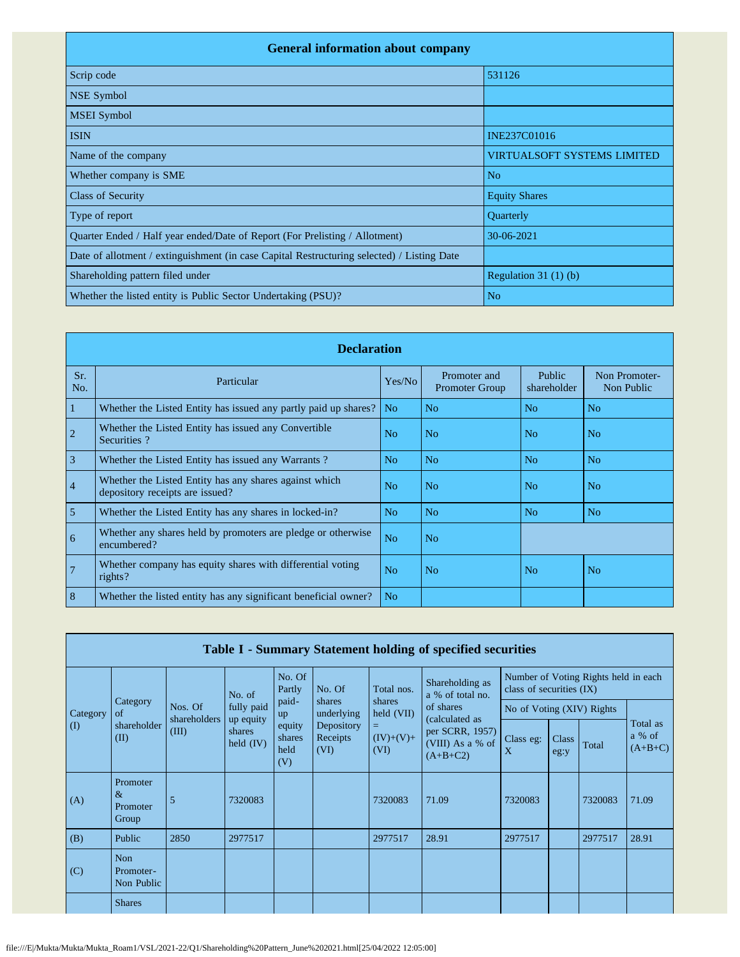| <b>General information about company</b>                                                   |                                    |  |  |  |  |  |  |  |
|--------------------------------------------------------------------------------------------|------------------------------------|--|--|--|--|--|--|--|
| Scrip code                                                                                 | 531126                             |  |  |  |  |  |  |  |
| <b>NSE Symbol</b>                                                                          |                                    |  |  |  |  |  |  |  |
| <b>MSEI</b> Symbol                                                                         |                                    |  |  |  |  |  |  |  |
| <b>ISIN</b>                                                                                | INE237C01016                       |  |  |  |  |  |  |  |
| Name of the company                                                                        | <b>VIRTUALSOFT SYSTEMS LIMITED</b> |  |  |  |  |  |  |  |
| Whether company is SME                                                                     | N <sub>o</sub>                     |  |  |  |  |  |  |  |
| <b>Class of Security</b>                                                                   | <b>Equity Shares</b>               |  |  |  |  |  |  |  |
| Type of report                                                                             | Quarterly                          |  |  |  |  |  |  |  |
| Quarter Ended / Half year ended/Date of Report (For Prelisting / Allotment)                | 30-06-2021                         |  |  |  |  |  |  |  |
| Date of allotment / extinguishment (in case Capital Restructuring selected) / Listing Date |                                    |  |  |  |  |  |  |  |
| Shareholding pattern filed under                                                           | Regulation $31(1)(b)$              |  |  |  |  |  |  |  |
| Whether the listed entity is Public Sector Undertaking (PSU)?                              | N <sub>o</sub>                     |  |  |  |  |  |  |  |

|                | <b>Declaration</b>                                                                        |                |                                       |                       |                             |  |  |  |  |  |  |
|----------------|-------------------------------------------------------------------------------------------|----------------|---------------------------------------|-----------------------|-----------------------------|--|--|--|--|--|--|
| Sr.<br>No.     | Particular                                                                                | Yes/No         | Promoter and<br><b>Promoter Group</b> | Public<br>shareholder | Non Promoter-<br>Non Public |  |  |  |  |  |  |
| 1              | Whether the Listed Entity has issued any partly paid up shares?                           | No.            | No                                    | N <sub>o</sub>        | N <sub>o</sub>              |  |  |  |  |  |  |
| $\overline{2}$ | Whether the Listed Entity has issued any Convertible<br>Securities?                       | N <sub>0</sub> | No                                    | N <sub>o</sub>        | N <sub>o</sub>              |  |  |  |  |  |  |
| $\overline{3}$ | Whether the Listed Entity has issued any Warrants?                                        | N <sub>o</sub> | N <sub>o</sub>                        | N <sub>o</sub>        | N <sub>o</sub>              |  |  |  |  |  |  |
| $\overline{4}$ | Whether the Listed Entity has any shares against which<br>depository receipts are issued? | N <sub>0</sub> | No                                    | N <sub>0</sub>        | No                          |  |  |  |  |  |  |
| 5              | Whether the Listed Entity has any shares in locked-in?                                    | N <sub>o</sub> | N <sub>o</sub>                        | N <sub>o</sub>        | N <sub>o</sub>              |  |  |  |  |  |  |
| 6              | Whether any shares held by promoters are pledge or otherwise<br>encumbered?               | N <sub>o</sub> | N <sub>o</sub>                        |                       |                             |  |  |  |  |  |  |
| $\overline{7}$ | Whether company has equity shares with differential voting<br>$rights$ ?                  | No             | No                                    | N <sub>o</sub>        | No                          |  |  |  |  |  |  |
| 8              | Whether the listed entity has any significant beneficial owner?                           | N <sub>o</sub> |                                       |                       |                             |  |  |  |  |  |  |

|           | Table I - Summary Statement holding of specified securities |                       |                                    |                                 |                                |                                                                                        |                                                                     |                                                                  |               |         |                                 |
|-----------|-------------------------------------------------------------|-----------------------|------------------------------------|---------------------------------|--------------------------------|----------------------------------------------------------------------------------------|---------------------------------------------------------------------|------------------------------------------------------------------|---------------|---------|---------------------------------|
|           |                                                             |                       | No. of                             | No. Of<br>Partly                | No. Of                         | Shareholding as<br>Total nos.<br>a % of total no.<br>shares<br>of shares<br>held (VII) |                                                                     | Number of Voting Rights held in each<br>class of securities (IX) |               |         |                                 |
| Category  | Category<br>of                                              | Nos. Of               | fully paid                         | paid-<br>up                     | shares<br>underlying           |                                                                                        |                                                                     | No of Voting (XIV) Rights                                        |               |         |                                 |
| $\rm (I)$ | shareholder<br>(II)                                         | shareholders<br>(III) | up equity<br>shares<br>held $(IV)$ | equity<br>shares<br>held<br>(V) | Depository<br>Receipts<br>(VI) | $=$<br>$(IV)+(V)+$<br>(VI)                                                             | (calculated as<br>per SCRR, 1957)<br>(VIII) As a % of<br>$(A+B+C2)$ | Class eg:<br>X                                                   | Class<br>eg:y | Total   | Total as<br>a % of<br>$(A+B+C)$ |
| (A)       | Promoter<br>$\&$<br>Promoter<br>Group                       | 5                     | 7320083                            |                                 |                                | 7320083                                                                                | 71.09                                                               | 7320083                                                          |               | 7320083 | 71.09                           |
| (B)       | Public                                                      | 2850                  | 2977517                            |                                 |                                | 2977517                                                                                | 28.91                                                               | 2977517                                                          |               | 2977517 | 28.91                           |
| (C)       | <b>Non</b><br>Promoter-<br>Non Public                       |                       |                                    |                                 |                                |                                                                                        |                                                                     |                                                                  |               |         |                                 |
|           | <b>Shares</b>                                               |                       |                                    |                                 |                                |                                                                                        |                                                                     |                                                                  |               |         |                                 |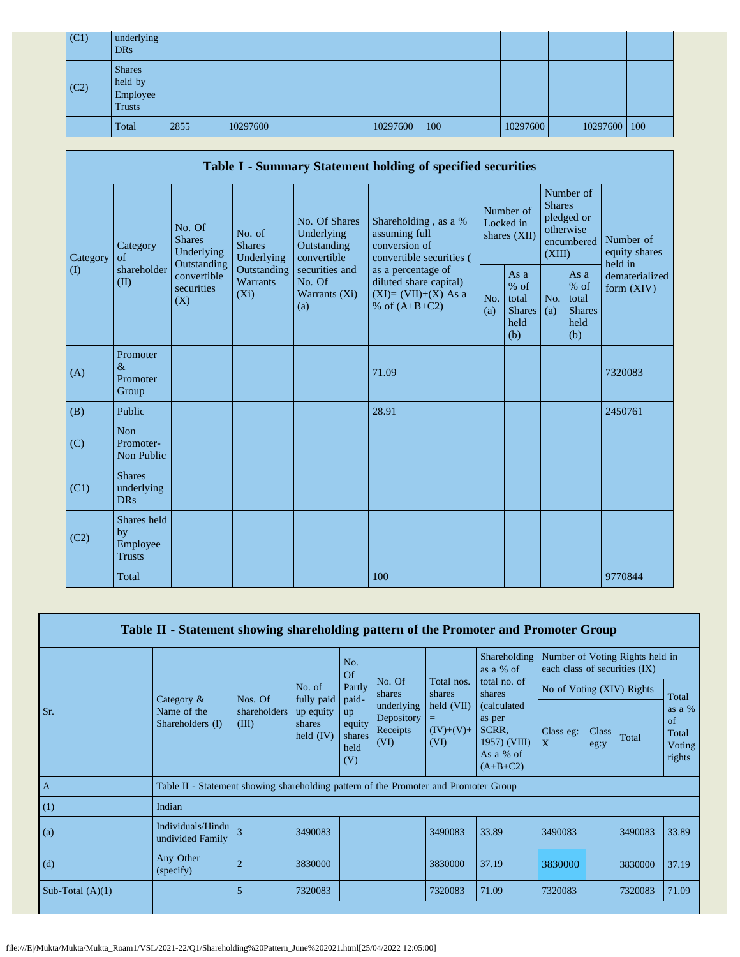| (C1) | underlying<br><b>DRs</b>                              |      |          |  |          |     |          |              |  |
|------|-------------------------------------------------------|------|----------|--|----------|-----|----------|--------------|--|
| (C2) | <b>Shares</b><br>held by<br>Employee<br><b>Trusts</b> |      |          |  |          |     |          |              |  |
|      | Total                                                 | 2855 | 10297600 |  | 10297600 | 100 | 10297600 | 10297600 100 |  |

|                   | Table I - Summary Statement holding of specified securities                                       |                                  |                                                           |                                                                                    |                                                                                          |            |                                                                               |            |                                                       |                                |  |
|-------------------|---------------------------------------------------------------------------------------------------|----------------------------------|-----------------------------------------------------------|------------------------------------------------------------------------------------|------------------------------------------------------------------------------------------|------------|-------------------------------------------------------------------------------|------------|-------------------------------------------------------|--------------------------------|--|
| Category          | No. Of<br>No. of<br><b>Shares</b><br><b>Shares</b><br>Category<br>Underlying<br>of<br>Outstanding | Underlying                       | No. Of Shares<br>Underlying<br>Outstanding<br>convertible | Shareholding, as a %<br>assuming full<br>conversion of<br>convertible securities ( | Number of<br>Locked in<br>shares (XII)                                                   |            | Number of<br><b>Shares</b><br>pledged or<br>otherwise<br>encumbered<br>(XIII) |            | Number of<br>equity shares<br>held in                 |                                |  |
| $\textcircled{1}$ | shareholder<br>(II)                                                                               | convertible<br>securities<br>(X) | Outstanding<br>Warrants<br>$(X_i)$                        | securities and<br>No. Of<br>Warrants (Xi)<br>(a)                                   | as a percentage of<br>diluted share capital)<br>$(XI)=(VII)+(X) As a$<br>% of $(A+B+C2)$ | No.<br>(a) | As a<br>% of<br>total<br><b>Shares</b><br>held<br>(b)                         | No.<br>(a) | As a<br>% of<br>total<br><b>Shares</b><br>held<br>(b) | dematerialized<br>form $(XIV)$ |  |
| (A)               | Promoter<br>$\&$<br>Promoter<br>Group                                                             |                                  |                                                           |                                                                                    | 71.09                                                                                    |            |                                                                               |            |                                                       | 7320083                        |  |
| (B)               | Public                                                                                            |                                  |                                                           |                                                                                    | 28.91                                                                                    |            |                                                                               |            |                                                       | 2450761                        |  |
| (C)               | <b>Non</b><br>Promoter-<br>Non Public                                                             |                                  |                                                           |                                                                                    |                                                                                          |            |                                                                               |            |                                                       |                                |  |
| (C1)              | <b>Shares</b><br>underlying<br><b>DRs</b>                                                         |                                  |                                                           |                                                                                    |                                                                                          |            |                                                                               |            |                                                       |                                |  |
| (C2)              | Shares held<br>by<br>Employee<br><b>Trusts</b>                                                    |                                  |                                                           |                                                                                    |                                                                                          |            |                                                                               |            |                                                       |                                |  |
|                   | Total                                                                                             |                                  |                                                           |                                                                                    | 100                                                                                      |            |                                                                               |            |                                                       | 9770844                        |  |

|                    | Table II - Statement showing shareholding pattern of the Promoter and Promoter Group |                         |                                    |                                                |                                              |                                   |                                                                            |                           |                           |                                                                  |                                             |
|--------------------|--------------------------------------------------------------------------------------|-------------------------|------------------------------------|------------------------------------------------|----------------------------------------------|-----------------------------------|----------------------------------------------------------------------------|---------------------------|---------------------------|------------------------------------------------------------------|---------------------------------------------|
|                    |                                                                                      |                         |                                    | No.<br>Of                                      |                                              |                                   | Shareholding<br>as a % of                                                  |                           |                           | Number of Voting Rights held in<br>each class of securities (IX) |                                             |
|                    | Category $\&$                                                                        | Nos. Of                 | No. of<br>fully paid               | Partly                                         | No. Of<br>shares                             | Total nos.<br>shares              | total no. of<br>shares                                                     |                           | No of Voting (XIV) Rights |                                                                  | Total                                       |
| Sr.                | Name of the<br>Shareholders (I)                                                      | shareholders  <br>(III) | up equity<br>shares<br>held $(IV)$ | paid-<br>up<br>equity<br>shares<br>held<br>(V) | underlying<br>Depository<br>Receipts<br>(VI) | held (VII)<br>$(IV)+(V)+$<br>(VI) | (calculated)<br>as per<br>SCRR.<br>1957) (VIII)<br>As a % of<br>$(A+B+C2)$ | Class eg:<br>$\mathbf{X}$ | Class<br>eg:y             | Total                                                            | as a $%$<br>of<br>Total<br>Voting<br>rights |
| $\overline{A}$     | Table II - Statement showing shareholding pattern of the Promoter and Promoter Group |                         |                                    |                                                |                                              |                                   |                                                                            |                           |                           |                                                                  |                                             |
| (1)                | Indian                                                                               |                         |                                    |                                                |                                              |                                   |                                                                            |                           |                           |                                                                  |                                             |
| (a)                | Individuals/Hindu<br>undivided Family                                                | $\overline{\mathbf{3}}$ | 3490083                            |                                                |                                              | 3490083                           | 33.89                                                                      | 3490083                   |                           | 3490083                                                          | 33.89                                       |
| (d)                | Any Other<br>(specify)                                                               |                         | 3830000                            |                                                |                                              | 3830000                           | 37.19                                                                      | 3830000                   |                           | 3830000                                                          | 37.19                                       |
| Sub-Total $(A)(1)$ |                                                                                      | 5                       | 7320083                            |                                                |                                              | 7320083                           | 71.09                                                                      | 7320083                   |                           | 7320083                                                          | 71.09                                       |
|                    |                                                                                      |                         |                                    |                                                |                                              |                                   |                                                                            |                           |                           |                                                                  |                                             |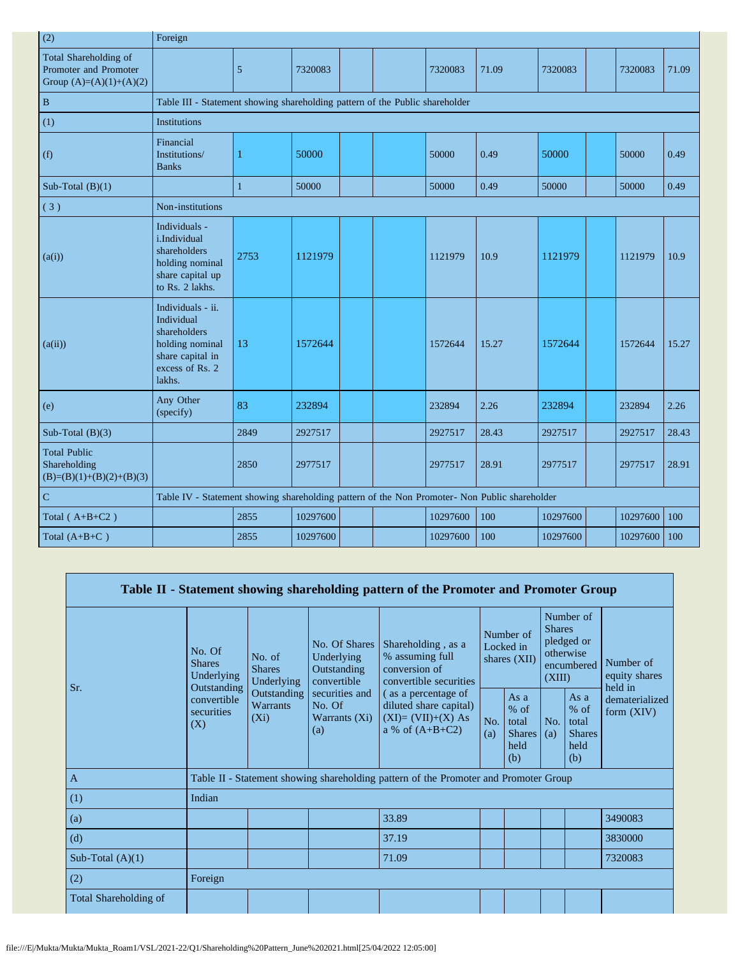| (2)                                                                         | Foreign                                                                                                             |                                                                                               |          |  |  |          |       |          |  |          |       |
|-----------------------------------------------------------------------------|---------------------------------------------------------------------------------------------------------------------|-----------------------------------------------------------------------------------------------|----------|--|--|----------|-------|----------|--|----------|-------|
| Total Shareholding of<br>Promoter and Promoter<br>Group $(A)=(A)(1)+(A)(2)$ |                                                                                                                     | 5                                                                                             | 7320083  |  |  | 7320083  | 71.09 | 7320083  |  | 7320083  | 71.09 |
| $\, {\bf B}$                                                                |                                                                                                                     | Table III - Statement showing shareholding pattern of the Public shareholder                  |          |  |  |          |       |          |  |          |       |
| (1)                                                                         | <b>Institutions</b>                                                                                                 |                                                                                               |          |  |  |          |       |          |  |          |       |
| (f)                                                                         | Financial<br>Institutions/<br><b>Banks</b>                                                                          | 1                                                                                             | 50000    |  |  | 50000    | 0.49  | 50000    |  | 50000    | 0.49  |
| Sub-Total $(B)(1)$                                                          |                                                                                                                     | $\mathbf{1}$                                                                                  | 50000    |  |  | 50000    | 0.49  | 50000    |  | 50000    | 0.49  |
| (3)                                                                         | Non-institutions                                                                                                    |                                                                                               |          |  |  |          |       |          |  |          |       |
| (a(i))                                                                      | Individuals -<br>i.Individual<br>shareholders<br>holding nominal<br>share capital up<br>to Rs. 2 lakhs.             | 2753                                                                                          | 1121979  |  |  | 1121979  | 10.9  | 1121979  |  | 1121979  | 10.9  |
| (a(ii))                                                                     | Individuals - ii.<br>Individual<br>shareholders<br>holding nominal<br>share capital in<br>excess of Rs. 2<br>lakhs. | 13                                                                                            | 1572644  |  |  | 1572644  | 15.27 | 1572644  |  | 1572644  | 15.27 |
| (e)                                                                         | Any Other<br>(specify)                                                                                              | 83                                                                                            | 232894   |  |  | 232894   | 2.26  | 232894   |  | 232894   | 2.26  |
| Sub-Total $(B)(3)$                                                          |                                                                                                                     | 2849                                                                                          | 2927517  |  |  | 2927517  | 28.43 | 2927517  |  | 2927517  | 28.43 |
| <b>Total Public</b><br>Shareholding<br>$(B)=(B)(1)+(B)(2)+(B)(3)$           |                                                                                                                     | 2850                                                                                          | 2977517  |  |  | 2977517  | 28.91 | 2977517  |  | 2977517  | 28.91 |
| $\mathbf C$                                                                 |                                                                                                                     | Table IV - Statement showing shareholding pattern of the Non Promoter- Non Public shareholder |          |  |  |          |       |          |  |          |       |
| Total $(A+B+C2)$                                                            |                                                                                                                     | 2855                                                                                          | 10297600 |  |  | 10297600 | 100   | 10297600 |  | 10297600 | 100   |
| Total $(A+B+C)$                                                             |                                                                                                                     | 2855                                                                                          | 10297600 |  |  | 10297600 | 100   | 10297600 |  | 10297600 | 100   |

|                       |                                                                                               |                                           |                                                           | Table II - Statement showing shareholding pattern of the Promoter and Promoter Group      |                                        |                                                           |                                                                               |                                                         |                                       |
|-----------------------|-----------------------------------------------------------------------------------------------|-------------------------------------------|-----------------------------------------------------------|-------------------------------------------------------------------------------------------|----------------------------------------|-----------------------------------------------------------|-------------------------------------------------------------------------------|---------------------------------------------------------|---------------------------------------|
| Sr.                   | No. Of<br>No. of<br><b>Shares</b><br><b>Shares</b><br>Underlying<br>Underlying<br>Outstanding |                                           | No. Of Shares<br>Underlying<br>Outstanding<br>convertible | Shareholding, as a<br>% assuming full<br>conversion of<br>convertible securities          | Number of<br>Locked in<br>shares (XII) |                                                           | Number of<br><b>Shares</b><br>pledged or<br>otherwise<br>encumbered<br>(XIII) |                                                         | Number of<br>equity shares<br>held in |
|                       | convertible<br>securities<br>(X)                                                              | Outstanding<br><b>Warrants</b><br>$(X_i)$ | securities and<br>No. Of<br>Warrants (Xi)<br>(a)          | (as a percentage of<br>diluted share capital)<br>$(XI)=(VII)+(X) As$<br>a % of $(A+B+C2)$ | No.<br>(a)                             | As $a$<br>$%$ of<br>total<br><b>Shares</b><br>held<br>(b) | No.<br>(a)                                                                    | As a<br>$%$ of<br>total<br><b>Shares</b><br>held<br>(b) | dematerialized<br>form $(XIV)$        |
| $\mathbf{A}$          |                                                                                               |                                           |                                                           | Table II - Statement showing shareholding pattern of the Promoter and Promoter Group      |                                        |                                                           |                                                                               |                                                         |                                       |
| (1)                   | Indian                                                                                        |                                           |                                                           |                                                                                           |                                        |                                                           |                                                                               |                                                         |                                       |
| (a)                   |                                                                                               |                                           |                                                           | 33.89                                                                                     |                                        |                                                           |                                                                               |                                                         | 3490083                               |
| (d)                   |                                                                                               |                                           |                                                           | 37.19                                                                                     |                                        |                                                           |                                                                               |                                                         | 3830000                               |
| Sub-Total $(A)(1)$    |                                                                                               |                                           |                                                           | 71.09                                                                                     |                                        |                                                           |                                                                               |                                                         | 7320083                               |
| (2)                   | Foreign                                                                                       |                                           |                                                           |                                                                                           |                                        |                                                           |                                                                               |                                                         |                                       |
| Total Shareholding of |                                                                                               |                                           |                                                           |                                                                                           |                                        |                                                           |                                                                               |                                                         |                                       |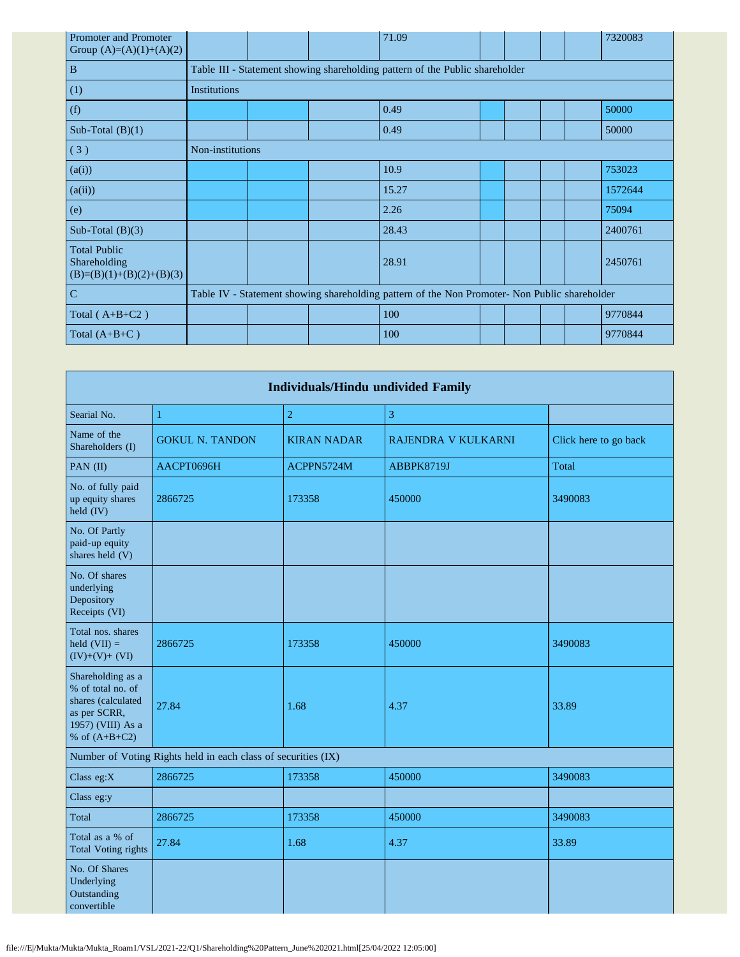| Promoter and Promoter<br>Group $(A)=(A)(1)+(A)(2)$                |                     |                                                                              |  | 71.09                                                                                         |  |  |  |  | 7320083 |  |
|-------------------------------------------------------------------|---------------------|------------------------------------------------------------------------------|--|-----------------------------------------------------------------------------------------------|--|--|--|--|---------|--|
| $\, {\bf B}$                                                      |                     | Table III - Statement showing shareholding pattern of the Public shareholder |  |                                                                                               |  |  |  |  |         |  |
| (1)                                                               | <b>Institutions</b> |                                                                              |  |                                                                                               |  |  |  |  |         |  |
| (f)                                                               |                     |                                                                              |  | 0.49                                                                                          |  |  |  |  | 50000   |  |
| Sub-Total $(B)(1)$                                                |                     |                                                                              |  | 0.49                                                                                          |  |  |  |  | 50000   |  |
| (3)                                                               | Non-institutions    |                                                                              |  |                                                                                               |  |  |  |  |         |  |
| (a(i))                                                            |                     |                                                                              |  | 10.9                                                                                          |  |  |  |  | 753023  |  |
| (a(ii))                                                           |                     |                                                                              |  | 15.27                                                                                         |  |  |  |  | 1572644 |  |
| (e)                                                               |                     |                                                                              |  | 2.26                                                                                          |  |  |  |  | 75094   |  |
| Sub-Total $(B)(3)$                                                |                     |                                                                              |  | 28.43                                                                                         |  |  |  |  | 2400761 |  |
| <b>Total Public</b><br>Shareholding<br>$(B)=(B)(1)+(B)(2)+(B)(3)$ |                     |                                                                              |  | 28.91                                                                                         |  |  |  |  | 2450761 |  |
| $\mathbf C$                                                       |                     |                                                                              |  | Table IV - Statement showing shareholding pattern of the Non Promoter- Non Public shareholder |  |  |  |  |         |  |
| Total $(A+B+C2)$                                                  |                     |                                                                              |  | 100                                                                                           |  |  |  |  | 9770844 |  |
| Total $(A+B+C)$                                                   |                     |                                                                              |  | 100                                                                                           |  |  |  |  | 9770844 |  |

| <b>Individuals/Hindu undivided Family</b>                                                                            |                                                               |                    |                     |                       |  |  |  |  |  |  |
|----------------------------------------------------------------------------------------------------------------------|---------------------------------------------------------------|--------------------|---------------------|-----------------------|--|--|--|--|--|--|
| Searial No.                                                                                                          | 1                                                             | $\overline{2}$     | 3                   |                       |  |  |  |  |  |  |
| Name of the<br>Shareholders (I)                                                                                      | <b>GOKUL N. TANDON</b>                                        | <b>KIRAN NADAR</b> | RAJENDRA V KULKARNI | Click here to go back |  |  |  |  |  |  |
| PAN (II)                                                                                                             | AACPT0696H                                                    | ACPPN5724M         | ABBPK8719J          | Total                 |  |  |  |  |  |  |
| No. of fully paid<br>up equity shares<br>held (IV)                                                                   | 2866725                                                       | 173358             | 450000              | 3490083               |  |  |  |  |  |  |
| No. Of Partly<br>paid-up equity<br>shares held (V)                                                                   |                                                               |                    |                     |                       |  |  |  |  |  |  |
| No. Of shares<br>underlying<br>Depository<br>Receipts (VI)                                                           |                                                               |                    |                     |                       |  |  |  |  |  |  |
| Total nos. shares<br>held $(VII) =$<br>$(IV)+(V)+(VI)$                                                               | 2866725                                                       | 173358             | 450000              | 3490083               |  |  |  |  |  |  |
| Shareholding as a<br>% of total no. of<br>shares (calculated<br>as per SCRR,<br>1957) (VIII) As a<br>% of $(A+B+C2)$ | 27.84                                                         | 1.68               | 4.37                | 33.89                 |  |  |  |  |  |  |
|                                                                                                                      | Number of Voting Rights held in each class of securities (IX) |                    |                     |                       |  |  |  |  |  |  |
| Class eg:X                                                                                                           | 2866725                                                       | 173358             | 450000              | 3490083               |  |  |  |  |  |  |
| Class eg:y                                                                                                           |                                                               |                    |                     |                       |  |  |  |  |  |  |
| Total                                                                                                                | 2866725                                                       | 173358             | 450000              | 3490083               |  |  |  |  |  |  |
| Total as a % of<br><b>Total Voting rights</b>                                                                        | 27.84                                                         | 1.68               | 4.37                | 33.89                 |  |  |  |  |  |  |
| No. Of Shares<br>Underlying<br>Outstanding<br>convertible                                                            |                                                               |                    |                     |                       |  |  |  |  |  |  |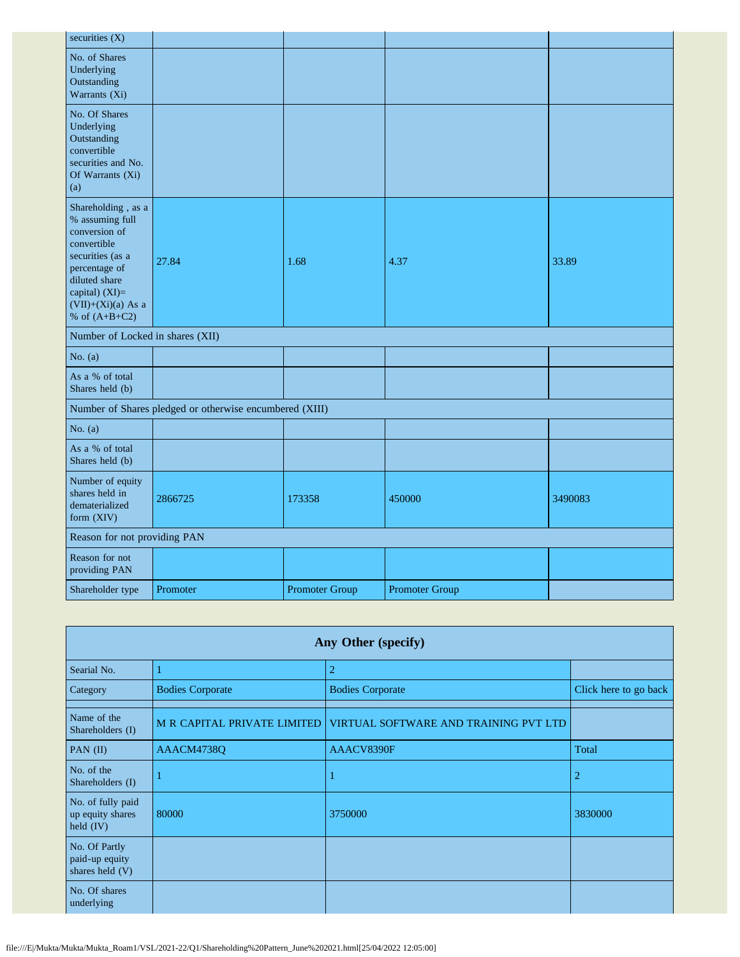| securities (X)                                                                                                                                                                             |                                                         |                       |                       |         |
|--------------------------------------------------------------------------------------------------------------------------------------------------------------------------------------------|---------------------------------------------------------|-----------------------|-----------------------|---------|
| No. of Shares<br>Underlying<br>Outstanding<br>Warrants (Xi)                                                                                                                                |                                                         |                       |                       |         |
| No. Of Shares<br>Underlying<br>Outstanding<br>convertible<br>securities and No.<br>Of Warrants (Xi)<br>(a)                                                                                 |                                                         |                       |                       |         |
| Shareholding, as a<br>% assuming full<br>conversion of<br>convertible<br>securities (as a<br>percentage of<br>diluted share<br>capital) $(XI)=$<br>$(VII)+(Xi)(a)$ As a<br>% of $(A+B+C2)$ | 27.84                                                   | 1.68                  | 4.37                  | 33.89   |
| Number of Locked in shares (XII)                                                                                                                                                           |                                                         |                       |                       |         |
| No. $(a)$                                                                                                                                                                                  |                                                         |                       |                       |         |
| As a % of total<br>Shares held (b)                                                                                                                                                         |                                                         |                       |                       |         |
|                                                                                                                                                                                            | Number of Shares pledged or otherwise encumbered (XIII) |                       |                       |         |
| No. $(a)$                                                                                                                                                                                  |                                                         |                       |                       |         |
| As a % of total<br>Shares held (b)                                                                                                                                                         |                                                         |                       |                       |         |
| Number of equity<br>shares held in<br>dematerialized<br>form (XIV)                                                                                                                         | 2866725                                                 | 173358                | 450000                | 3490083 |
| Reason for not providing PAN                                                                                                                                                               |                                                         |                       |                       |         |
| Reason for not<br>providing PAN                                                                                                                                                            |                                                         |                       |                       |         |
| Shareholder type                                                                                                                                                                           | Promoter                                                | <b>Promoter Group</b> | <b>Promoter Group</b> |         |

| Any Other (specify)                                  |                                      |                                       |                       |  |  |  |  |  |  |  |
|------------------------------------------------------|--------------------------------------|---------------------------------------|-----------------------|--|--|--|--|--|--|--|
| Searial No.                                          |                                      | $\overline{2}$                        |                       |  |  |  |  |  |  |  |
| Category                                             | <b>Bodies Corporate</b>              | <b>Bodies Corporate</b>               | Click here to go back |  |  |  |  |  |  |  |
| Name of the<br>Shareholders (I)                      | <b>M R CAPITAL PRIVATE LIMITED  </b> | VIRTUAL SOFTWARE AND TRAINING PVT LTD |                       |  |  |  |  |  |  |  |
| PAN $(II)$                                           | AAACM4738Q                           | AAACV8390F                            | Total                 |  |  |  |  |  |  |  |
| No. of the<br>Shareholders (I)                       |                                      |                                       | 2                     |  |  |  |  |  |  |  |
| No. of fully paid<br>up equity shares<br>held $(IV)$ | 80000                                | 3750000                               | 3830000               |  |  |  |  |  |  |  |
| No. Of Partly<br>paid-up equity<br>shares held (V)   |                                      |                                       |                       |  |  |  |  |  |  |  |
| No. Of shares<br>underlying                          |                                      |                                       |                       |  |  |  |  |  |  |  |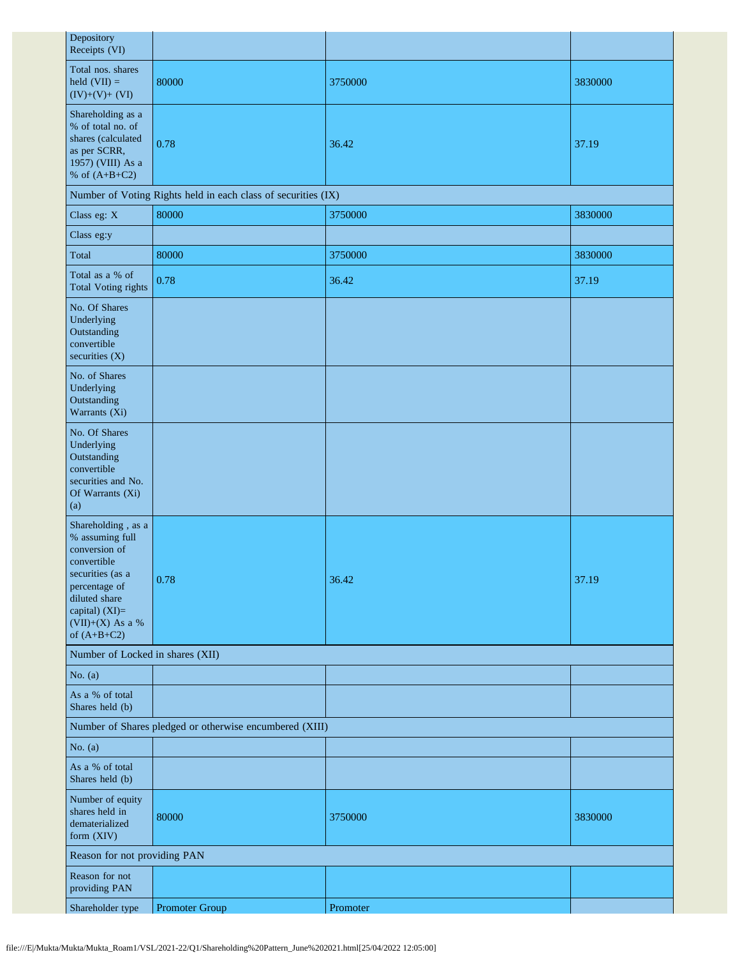| Depository<br>Receipts (VI)                                                                                                                                                          |                                                               |          |         |  |  |
|--------------------------------------------------------------------------------------------------------------------------------------------------------------------------------------|---------------------------------------------------------------|----------|---------|--|--|
| Total nos. shares<br>held $(VII) =$<br>$(IV)+(V)+(VI)$                                                                                                                               | 80000                                                         | 3750000  | 3830000 |  |  |
| Shareholding as a<br>% of total no. of<br>shares (calculated<br>as per SCRR,<br>1957) (VIII) As a<br>% of $(A+B+C2)$                                                                 | 0.78                                                          | 36.42    | 37.19   |  |  |
|                                                                                                                                                                                      | Number of Voting Rights held in each class of securities (IX) |          |         |  |  |
| Class eg: X                                                                                                                                                                          | 80000                                                         | 3750000  | 3830000 |  |  |
| Class eg:y                                                                                                                                                                           |                                                               |          |         |  |  |
| Total                                                                                                                                                                                | 80000                                                         | 3750000  | 3830000 |  |  |
| Total as a % of<br><b>Total Voting rights</b>                                                                                                                                        | 0.78                                                          | 36.42    | 37.19   |  |  |
| No. Of Shares<br>Underlying<br>Outstanding<br>convertible<br>securities (X)                                                                                                          |                                                               |          |         |  |  |
| No. of Shares<br>Underlying<br>Outstanding<br>Warrants (Xi)                                                                                                                          |                                                               |          |         |  |  |
| No. Of Shares<br>Underlying<br>Outstanding<br>convertible<br>securities and No.<br>Of Warrants (Xi)<br>(a)                                                                           |                                                               |          |         |  |  |
| Shareholding, as a<br>% assuming full<br>conversion of<br>convertible<br>securities (as a<br>percentage of<br>diluted share<br>capital) (XI)=<br>$(VII)+(X)$ As a %<br>of $(A+B+C2)$ | 0.78                                                          | 36.42    | 37.19   |  |  |
| Number of Locked in shares (XII)                                                                                                                                                     |                                                               |          |         |  |  |
| No. $(a)$                                                                                                                                                                            |                                                               |          |         |  |  |
| As a % of total<br>Shares held (b)                                                                                                                                                   |                                                               |          |         |  |  |
| Number of Shares pledged or otherwise encumbered (XIII)                                                                                                                              |                                                               |          |         |  |  |
| No. $(a)$                                                                                                                                                                            |                                                               |          |         |  |  |
| As a % of total<br>Shares held (b)                                                                                                                                                   |                                                               |          |         |  |  |
| Number of equity<br>shares held in<br>dematerialized<br>form (XIV)                                                                                                                   | 80000                                                         | 3750000  | 3830000 |  |  |
| Reason for not providing PAN                                                                                                                                                         |                                                               |          |         |  |  |
| Reason for not<br>providing PAN                                                                                                                                                      |                                                               |          |         |  |  |
| Shareholder type                                                                                                                                                                     | Promoter Group                                                | Promoter |         |  |  |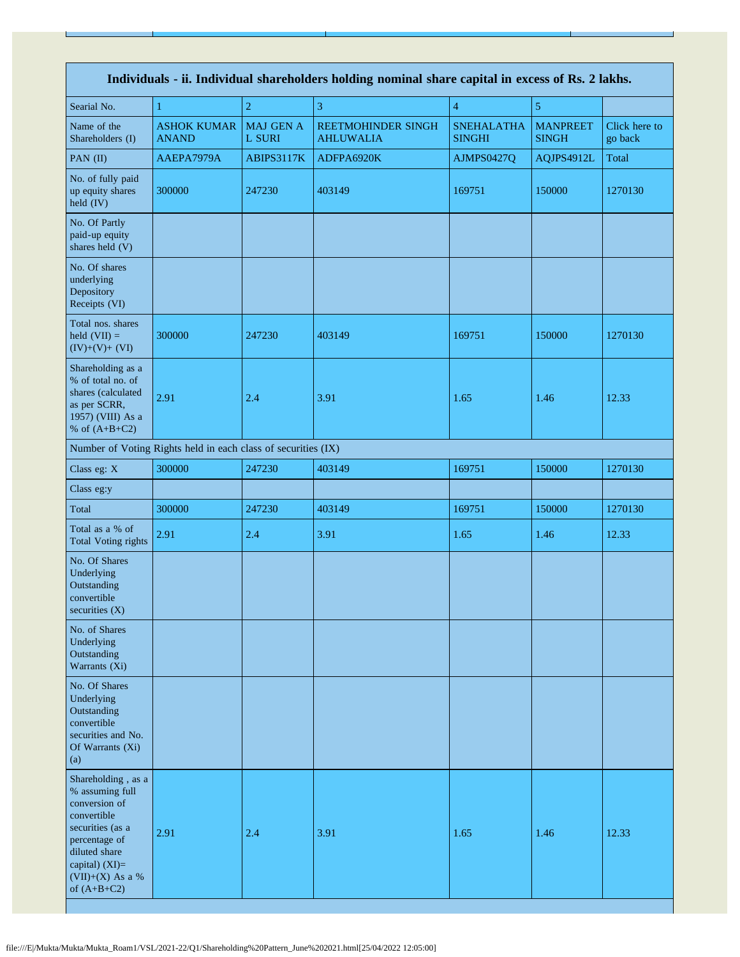| Individuals - ii. Individual shareholders holding nominal share capital in excess of Rs. 2 lakhs.                                                                                      |                                                               |                            |                                        |                                    |                                 |                          |
|----------------------------------------------------------------------------------------------------------------------------------------------------------------------------------------|---------------------------------------------------------------|----------------------------|----------------------------------------|------------------------------------|---------------------------------|--------------------------|
| Searial No.                                                                                                                                                                            | 1                                                             | $\overline{2}$             | 3                                      | $\overline{4}$                     | 5                               |                          |
| Name of the<br>Shareholders (I)                                                                                                                                                        | <b>ASHOK KUMAR</b><br><b>ANAND</b>                            | <b>MAJ GEN A</b><br>L SURI | REETMOHINDER SINGH<br><b>AHLUWALIA</b> | <b>SNEHALATHA</b><br><b>SINGHI</b> | <b>MANPREET</b><br><b>SINGH</b> | Click here to<br>go back |
| PAN $(II)$                                                                                                                                                                             | AAEPA7979A                                                    | ABIPS3117K                 | ADFPA6920K                             | AJMPS0427Q                         | AQJPS4912L                      | Total                    |
| No. of fully paid<br>up equity shares<br>held (IV)                                                                                                                                     | 300000                                                        | 247230                     | 403149                                 | 169751                             | 150000                          | 1270130                  |
| No. Of Partly<br>paid-up equity<br>shares held (V)                                                                                                                                     |                                                               |                            |                                        |                                    |                                 |                          |
| No. Of shares<br>underlying<br>Depository<br>Receipts (VI)                                                                                                                             |                                                               |                            |                                        |                                    |                                 |                          |
| Total nos. shares<br>held $(VII) =$<br>$(IV)+(V)+(VI)$                                                                                                                                 | 300000                                                        | 247230                     | 403149                                 | 169751                             | 150000                          | 1270130                  |
| Shareholding as a<br>% of total no. of<br>shares (calculated<br>as per SCRR,<br>1957) (VIII) As a<br>% of $(A+B+C2)$                                                                   | 2.91                                                          | 2.4                        | 3.91                                   | 1.65                               | 1.46                            | 12.33                    |
|                                                                                                                                                                                        | Number of Voting Rights held in each class of securities (IX) |                            |                                        |                                    |                                 |                          |
| Class eg: X                                                                                                                                                                            | 300000                                                        | 247230                     | 403149                                 | 169751                             | 150000                          | 1270130                  |
| Class eg:y                                                                                                                                                                             |                                                               |                            |                                        |                                    |                                 |                          |
| Total                                                                                                                                                                                  | 300000                                                        | 247230                     | 403149                                 | 169751                             | 150000                          | 1270130                  |
| Total as a % of<br><b>Total Voting rights</b>                                                                                                                                          | 2.91                                                          | 2.4                        | 3.91                                   | 1.65                               | 1.46                            | 12.33                    |
| No. Of Shares<br>Underlying<br>Outstanding<br>convertible<br>securities (X)                                                                                                            |                                                               |                            |                                        |                                    |                                 |                          |
| No. of Shares<br>Underlying<br>Outstanding<br>Warrants (Xi)                                                                                                                            |                                                               |                            |                                        |                                    |                                 |                          |
| No. Of Shares<br>Underlying<br>Outstanding<br>convertible<br>securities and No.<br>Of Warrants (Xi)<br>(a)                                                                             |                                                               |                            |                                        |                                    |                                 |                          |
| Shareholding, as a<br>% assuming full<br>conversion of<br>convertible<br>securities (as a<br>percentage of<br>diluted share<br>capital) $(XI)=$<br>$(VII)+(X)$ As a %<br>of $(A+B+C2)$ | 2.91                                                          | 2.4                        | 3.91                                   | 1.65                               | 1.46                            | 12.33                    |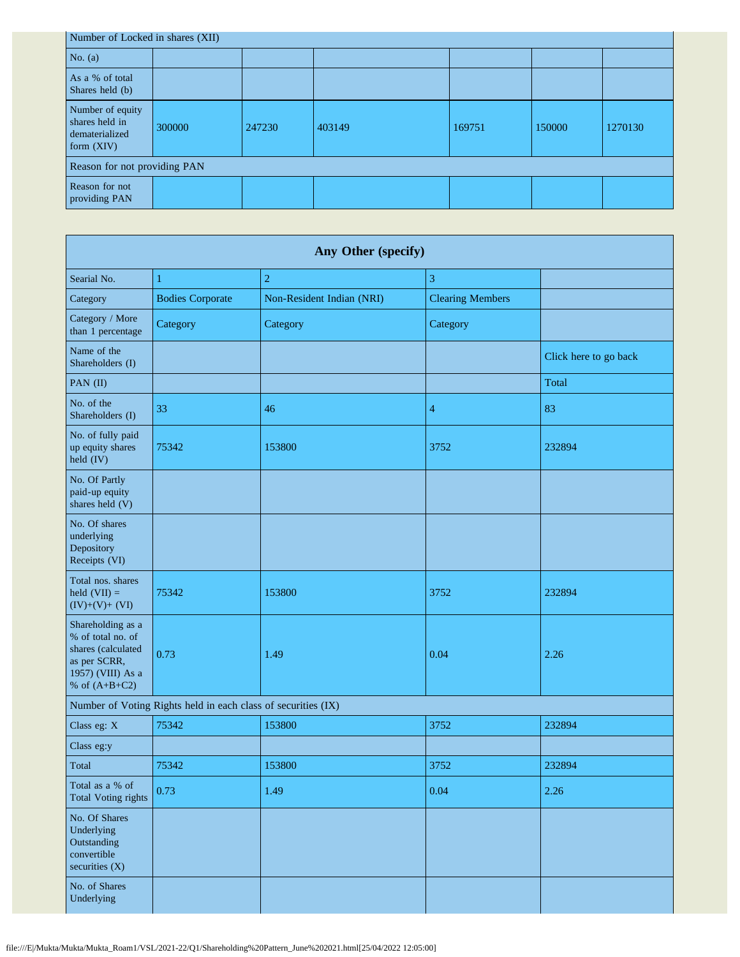| Number of Locked in shares (XII)                                     |        |        |        |        |        |         |  |
|----------------------------------------------------------------------|--------|--------|--------|--------|--------|---------|--|
| No. $(a)$                                                            |        |        |        |        |        |         |  |
| As a % of total<br>Shares held (b)                                   |        |        |        |        |        |         |  |
| Number of equity<br>shares held in<br>dematerialized<br>form $(XIV)$ | 300000 | 247230 | 403149 | 169751 | 150000 | 1270130 |  |
| Reason for not providing PAN                                         |        |        |        |        |        |         |  |
| Reason for not<br>providing PAN                                      |        |        |        |        |        |         |  |

| Any Other (specify)                                                                                                  |                         |                           |                         |                       |  |  |  |
|----------------------------------------------------------------------------------------------------------------------|-------------------------|---------------------------|-------------------------|-----------------------|--|--|--|
| Searial No.                                                                                                          | 1                       | $\overline{c}$            | 3                       |                       |  |  |  |
| Category                                                                                                             | <b>Bodies Corporate</b> | Non-Resident Indian (NRI) | <b>Clearing Members</b> |                       |  |  |  |
| Category / More<br>than 1 percentage                                                                                 | Category                | Category                  | Category                |                       |  |  |  |
| Name of the<br>Shareholders (I)                                                                                      |                         |                           |                         | Click here to go back |  |  |  |
| PAN (II)                                                                                                             |                         |                           |                         | Total                 |  |  |  |
| No. of the<br>Shareholders (I)                                                                                       | 33                      | 46                        | $\overline{4}$          | 83                    |  |  |  |
| No. of fully paid<br>up equity shares<br>held (IV)                                                                   | 75342                   | 153800                    | 3752                    | 232894                |  |  |  |
| No. Of Partly<br>paid-up equity<br>shares held (V)                                                                   |                         |                           |                         |                       |  |  |  |
| No. Of shares<br>underlying<br>Depository<br>Receipts (VI)                                                           |                         |                           |                         |                       |  |  |  |
| Total nos. shares<br>held $(VII) =$<br>$(IV)+(V)+(VI)$                                                               | 75342                   | 153800                    | 3752                    | 232894                |  |  |  |
| Shareholding as a<br>% of total no. of<br>shares (calculated<br>as per SCRR,<br>1957) (VIII) As a<br>% of $(A+B+C2)$ | 0.73                    | 1.49                      | 0.04                    | 2.26                  |  |  |  |
| Number of Voting Rights held in each class of securities (IX)                                                        |                         |                           |                         |                       |  |  |  |
| Class eg: X                                                                                                          | 75342                   | 153800                    | 3752                    | 232894                |  |  |  |
| Class eg:y                                                                                                           |                         |                           |                         |                       |  |  |  |
| Total                                                                                                                | 75342                   | 153800                    | 3752                    | 232894                |  |  |  |
| Total as a % of<br><b>Total Voting rights</b>                                                                        | 0.73                    | 1.49                      | 0.04                    | 2.26                  |  |  |  |
| No. Of Shares<br>Underlying<br>Outstanding<br>convertible<br>securities $(X)$                                        |                         |                           |                         |                       |  |  |  |
| No. of Shares<br>Underlying                                                                                          |                         |                           |                         |                       |  |  |  |